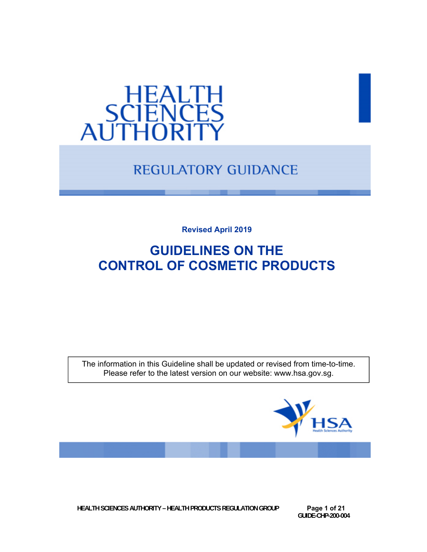

# **REGULATORY GUIDANCE**

**Revised April 2019** 

# **GUIDELINES ON THE CONTROL OF COSMETIC PRODUCTS**

The information in this Guideline shall be updated or revised from time-to-time. Please refer to the latest version on our website: www.hsa.gov.sg.



**HEALTH SCIENCES AUTHORITY – HEALTH PRODUCTS REGULATION GROUP Page 1 of 21** 

 **GUIDE-CHP-200-004**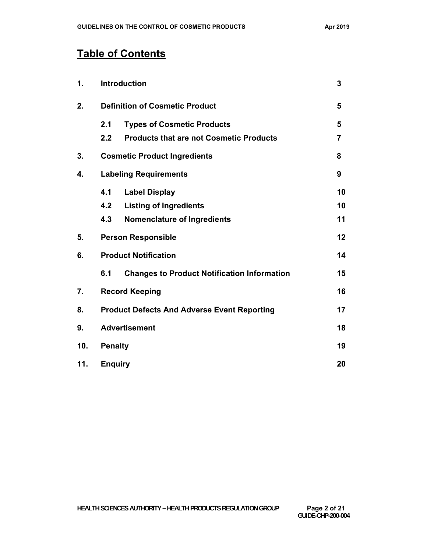# **Table of Contents**

| 1.  | <b>Introduction</b>                                      |                                                    |    |
|-----|----------------------------------------------------------|----------------------------------------------------|----|
| 2.  | <b>Definition of Cosmetic Product</b>                    |                                                    |    |
|     | 2.1                                                      | <b>Types of Cosmetic Products</b>                  | 5  |
|     | 2.2                                                      | <b>Products that are not Cosmetic Products</b>     | 7  |
| 3.  | <b>Cosmetic Product Ingredients</b>                      |                                                    | 8  |
| 4.  | <b>Labeling Requirements</b>                             |                                                    |    |
|     | 4.1                                                      | <b>Label Display</b>                               | 10 |
|     | 4.2                                                      | <b>Listing of Ingredients</b>                      | 10 |
|     | 4.3                                                      | <b>Nomenclature of Ingredients</b>                 | 11 |
| 5.  | <b>Person Responsible</b>                                |                                                    |    |
| 6.  | <b>Product Notification</b>                              |                                                    |    |
|     | 6.1                                                      | <b>Changes to Product Notification Information</b> | 15 |
| 7.  | 16<br><b>Record Keeping</b>                              |                                                    |    |
| 8.  | 17<br><b>Product Defects And Adverse Event Reporting</b> |                                                    |    |
| 9.  | <b>Advertisement</b>                                     |                                                    |    |
| 10. | <b>Penalty</b>                                           |                                                    |    |
| 11. | <b>Enquiry</b><br>20                                     |                                                    |    |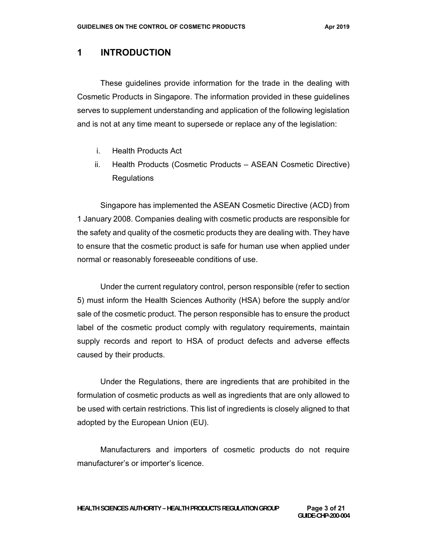#### **1 INTRODUCTION**

These guidelines provide information for the trade in the dealing with Cosmetic Products in Singapore. The information provided in these guidelines serves to supplement understanding and application of the following legislation and is not at any time meant to supersede or replace any of the legislation:

- i. Health Products Act
- ii. Health Products (Cosmetic Products ASEAN Cosmetic Directive) Regulations

Singapore has implemented the ASEAN Cosmetic Directive (ACD) from 1 January 2008. Companies dealing with cosmetic products are responsible for the safety and quality of the cosmetic products they are dealing with. They have to ensure that the cosmetic product is safe for human use when applied under normal or reasonably foreseeable conditions of use.

Under the current regulatory control, person responsible (refer to section 5) must inform the Health Sciences Authority (HSA) before the supply and/or sale of the cosmetic product. The person responsible has to ensure the product label of the cosmetic product comply with regulatory requirements, maintain supply records and report to HSA of product defects and adverse effects caused by their products.

Under the Regulations, there are ingredients that are prohibited in the formulation of cosmetic products as well as ingredients that are only allowed to be used with certain restrictions. This list of ingredients is closely aligned to that adopted by the European Union (EU).

Manufacturers and importers of cosmetic products do not require manufacturer's or importer's licence.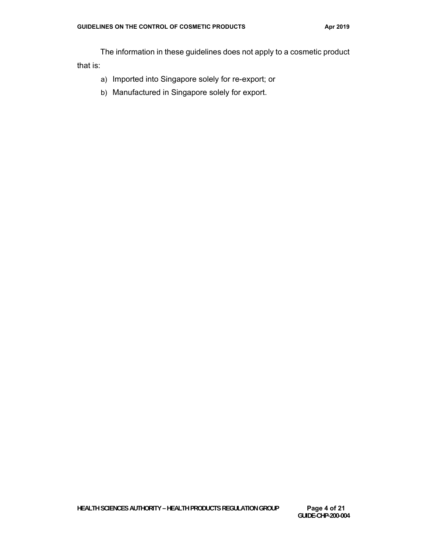The information in these guidelines does not apply to a cosmetic product that is:

- a) Imported into Singapore solely for re-export; or
- b) Manufactured in Singapore solely for export.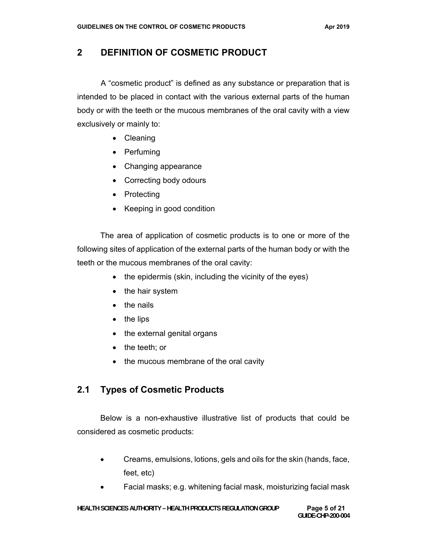# **2 DEFINITION OF COSMETIC PRODUCT**

A "cosmetic product" is defined as any substance or preparation that is intended to be placed in contact with the various external parts of the human body or with the teeth or the mucous membranes of the oral cavity with a view exclusively or mainly to:

- Cleaning
- Perfuming
- Changing appearance
- Correcting body odours
- Protecting
- Keeping in good condition

The area of application of cosmetic products is to one or more of the following sites of application of the external parts of the human body or with the teeth or the mucous membranes of the oral cavity:

- $\bullet$  the epidermis (skin, including the vicinity of the eyes)
- the hair system
- $\bullet$  the nails
- $\bullet$  the lips
- the external genital organs
- the teeth; or
- the mucous membrane of the oral cavity

# **2.1 Types of Cosmetic Products**

Below is a non-exhaustive illustrative list of products that could be considered as cosmetic products:

- Creams, emulsions, lotions, gels and oils for the skin (hands, face, feet, etc)
- Facial masks; e.g. whitening facial mask, moisturizing facial mask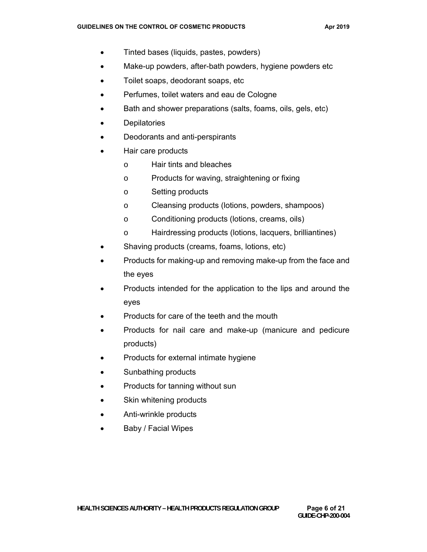- Tinted bases (liquids, pastes, powders)
- Make-up powders, after-bath powders, hygiene powders etc
- Toilet soaps, deodorant soaps, etc
- Perfumes, toilet waters and eau de Cologne
- Bath and shower preparations (salts, foams, oils, gels, etc)
- **Depilatories**
- Deodorants and anti-perspirants
- Hair care products
	- o Hair tints and bleaches
	- o Products for waving, straightening or fixing
	- o Setting products
	- o Cleansing products (lotions, powders, shampoos)
	- o Conditioning products (lotions, creams, oils)
	- o Hairdressing products (lotions, lacquers, brilliantines)
- Shaving products (creams, foams, lotions, etc)
- Products for making-up and removing make-up from the face and the eyes
- Products intended for the application to the lips and around the eyes
- Products for care of the teeth and the mouth
- Products for nail care and make-up (manicure and pedicure products)
- Products for external intimate hygiene
- Sunbathing products
- Products for tanning without sun
- Skin whitening products
- Anti-wrinkle products
- Baby / Facial Wipes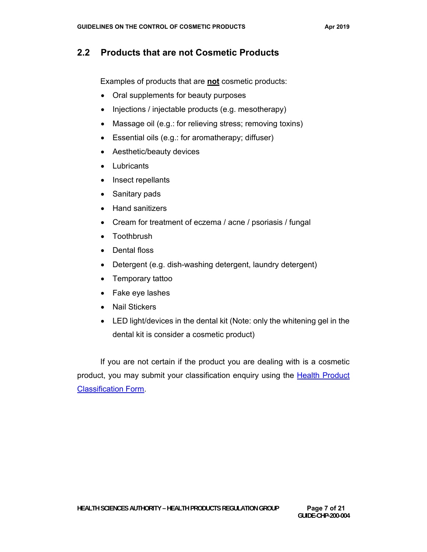## **2.2 Products that are not Cosmetic Products**

Examples of products that are **not** cosmetic products:

- Oral supplements for beauty purposes
- Injections / injectable products (e.g. mesotherapy)
- Massage oil (e.g.: for relieving stress; removing toxins)
- Essential oils (e.g.: for aromatherapy; diffuser)
- Aesthetic/beauty devices
- Lubricants
- Insect repellants
- Sanitary pads
- Hand sanitizers
- Cream for treatment of eczema / acne / psoriasis / fungal
- Toothbrush
- Dental floss
- Detergent (e.g. dish-washing detergent, laundry detergent)
- Temporary tattoo
- Fake eye lashes
- Nail Stickers
- LED light/devices in the dental kit (Note: only the whitening gel in the dental kit is consider a cosmetic product)

If you are not certain if the product you are dealing with is a cosmetic product, you may submit your classification enquiry using the Health Product Classification Form.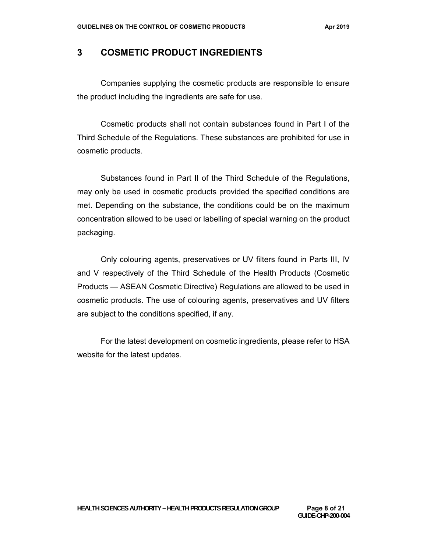#### **3 COSMETIC PRODUCT INGREDIENTS**

Companies supplying the cosmetic products are responsible to ensure the product including the ingredients are safe for use.

Cosmetic products shall not contain substances found in Part I of the Third Schedule of the Regulations. These substances are prohibited for use in cosmetic products.

Substances found in Part II of the Third Schedule of the Regulations, may only be used in cosmetic products provided the specified conditions are met. Depending on the substance, the conditions could be on the maximum concentration allowed to be used or labelling of special warning on the product packaging.

Only colouring agents, preservatives or UV filters found in Parts III, IV and V respectively of the Third Schedule of the Health Products (Cosmetic Products — ASEAN Cosmetic Directive) Regulations are allowed to be used in cosmetic products. The use of colouring agents, preservatives and UV filters are subject to the conditions specified, if any.

For the latest development on cosmetic ingredients, please refer to HSA website for the latest updates.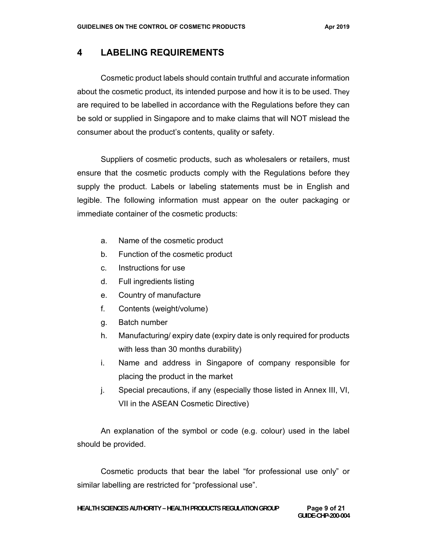## **4 LABELING REQUIREMENTS**

Cosmetic product labels should contain truthful and accurate information about the cosmetic product, its intended purpose and how it is to be used. They are required to be labelled in accordance with the Regulations before they can be sold or supplied in Singapore and to make claims that will NOT mislead the consumer about the product's contents, quality or safety.

Suppliers of cosmetic products, such as wholesalers or retailers, must ensure that the cosmetic products comply with the Regulations before they supply the product. Labels or labeling statements must be in English and legible. The following information must appear on the outer packaging or immediate container of the cosmetic products:

- a. Name of the cosmetic product
- b. Function of the cosmetic product
- c. Instructions for use
- d. Full ingredients listing
- e. Country of manufacture
- f. Contents (weight/volume)
- g. Batch number
- h. Manufacturing/ expiry date (expiry date is only required for products with less than 30 months durability)
- i. Name and address in Singapore of company responsible for placing the product in the market
- j. Special precautions, if any (especially those listed in Annex III, VI, VII in the ASEAN Cosmetic Directive)

An explanation of the symbol or code (e.g. colour) used in the label should be provided.

Cosmetic products that bear the label "for professional use only" or similar labelling are restricted for "professional use".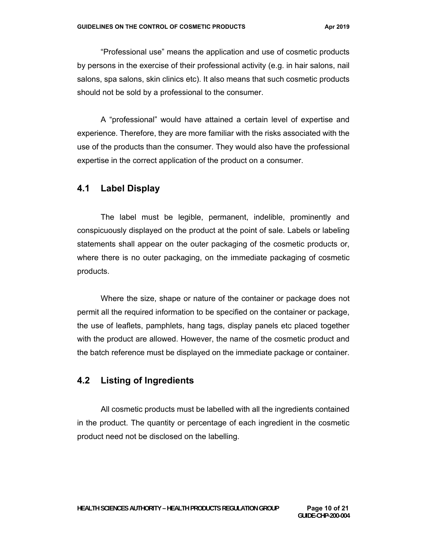"Professional use" means the application and use of cosmetic products by persons in the exercise of their professional activity (e.g. in hair salons, nail salons, spa salons, skin clinics etc). It also means that such cosmetic products should not be sold by a professional to the consumer.

A "professional" would have attained a certain level of expertise and experience. Therefore, they are more familiar with the risks associated with the use of the products than the consumer. They would also have the professional expertise in the correct application of the product on a consumer.

#### **4.1 Label Display**

The label must be legible, permanent, indelible, prominently and conspicuously displayed on the product at the point of sale. Labels or labeling statements shall appear on the outer packaging of the cosmetic products or, where there is no outer packaging, on the immediate packaging of cosmetic products.

Where the size, shape or nature of the container or package does not permit all the required information to be specified on the container or package, the use of leaflets, pamphlets, hang tags, display panels etc placed together with the product are allowed. However, the name of the cosmetic product and the batch reference must be displayed on the immediate package or container.

#### **4.2 Listing of Ingredients**

All cosmetic products must be labelled with all the ingredients contained in the product. The quantity or percentage of each ingredient in the cosmetic product need not be disclosed on the labelling.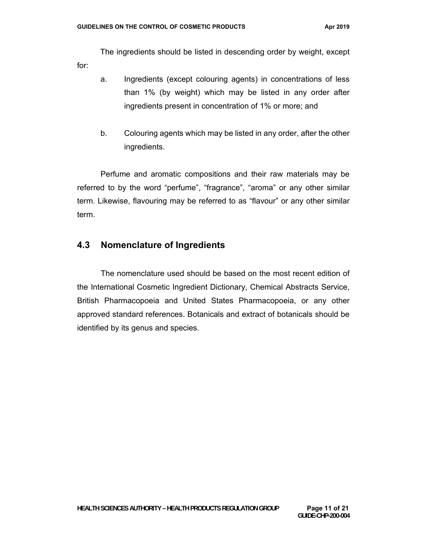The ingredients should be listed in descending order by weight, except for:

- a. Ingredients (except colouring agents) in concentrations of less than 1% (by weight) which may be listed in any order after ingredients present in concentration of 1% or more; and
- b. Colouring agents which may be listed in any order, after the other ingredients.

Perfume and aromatic compositions and their raw materials may be referred to by the word "perfume", "fragrance", "aroma" or any other similar term. Likewise, flavouring may be referred to as "flavour" or any other similar term.

#### **4.3 Nomenclature of Ingredients**

The nomenclature used should be based on the most recent edition of the International Cosmetic Ingredient Dictionary, Chemical Abstracts Service, British Pharmacopoeia and United States Pharmacopoeia, or any other approved standard references. Botanicals and extract of botanicals should be identified by its genus and species.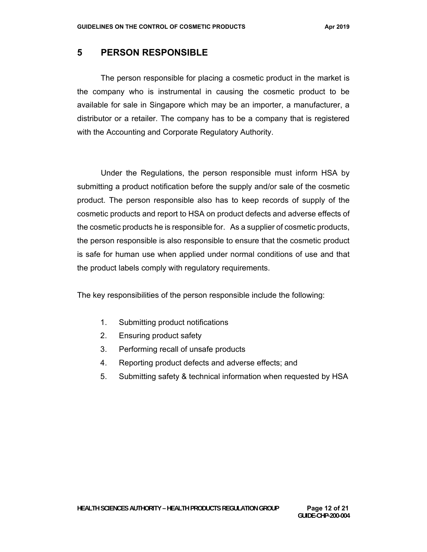#### **5 PERSON RESPONSIBLE**

The person responsible for placing a cosmetic product in the market is the company who is instrumental in causing the cosmetic product to be available for sale in Singapore which may be an importer, a manufacturer, a distributor or a retailer. The company has to be a company that is registered with the Accounting and Corporate Regulatory Authority.

Under the Regulations, the person responsible must inform HSA by submitting a product notification before the supply and/or sale of the cosmetic product. The person responsible also has to keep records of supply of the cosmetic products and report to HSA on product defects and adverse effects of the cosmetic products he is responsible for. As a supplier of cosmetic products, the person responsible is also responsible to ensure that the cosmetic product is safe for human use when applied under normal conditions of use and that the product labels comply with regulatory requirements.

The key responsibilities of the person responsible include the following:

- 1. Submitting product notifications
- 2. Ensuring product safety
- 3. Performing recall of unsafe products
- 4. Reporting product defects and adverse effects; and
- 5. Submitting safety & technical information when requested by HSA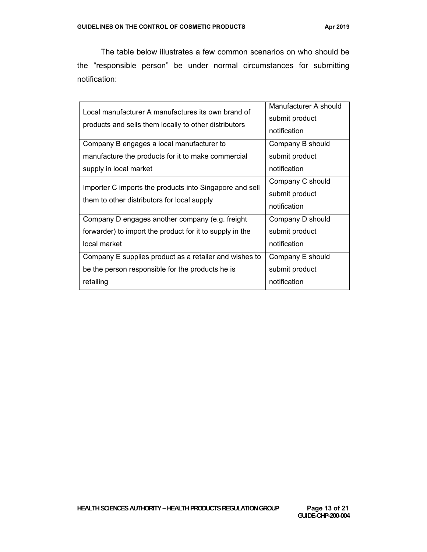The table below illustrates a few common scenarios on who should be the "responsible person" be under normal circumstances for submitting notification:

| Local manufacturer A manufactures its own brand of<br>products and sells them locally to other distributors | Manufacturer A should<br>submit product<br>notification |  |
|-------------------------------------------------------------------------------------------------------------|---------------------------------------------------------|--|
| Company B engages a local manufacturer to                                                                   | Company B should                                        |  |
| manufacture the products for it to make commercial                                                          | submit product                                          |  |
| supply in local market                                                                                      | notification                                            |  |
| Importer C imports the products into Singapore and sell                                                     | Company C should                                        |  |
|                                                                                                             | submit product                                          |  |
| them to other distributors for local supply                                                                 | notification                                            |  |
| Company D engages another company (e.g. freight                                                             | Company D should                                        |  |
| forwarder) to import the product for it to supply in the                                                    | submit product                                          |  |
| local market                                                                                                | notification                                            |  |
| Company E supplies product as a retailer and wishes to                                                      | Company E should                                        |  |
| be the person responsible for the products he is                                                            | submit product                                          |  |
| retailing                                                                                                   | notification                                            |  |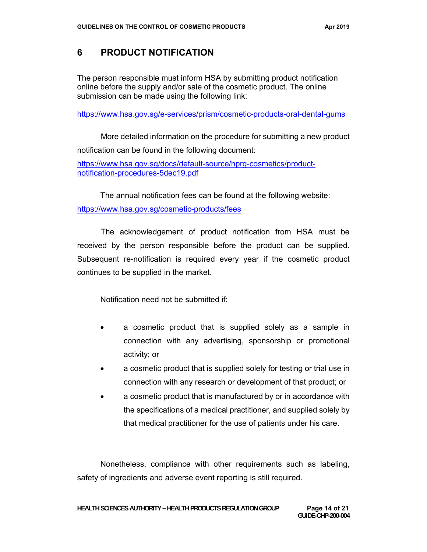# **6 PRODUCT NOTIFICATION**

The person responsible must inform HSA by submitting product notification online before the supply and/or sale of the cosmetic product. The online submission can be made using the following link:

https://www.hsa.gov.sg/e-services/prism/cosmetic-products-oral-dental-gums

More detailed information on the procedure for submitting a new product notification can be found in the following document:

https://www.hsa.gov.sg/docs/default-source/hprg-cosmetics/productnotification-procedures-5dec19.pdf

The annual notification fees can be found at the following website: https://www.hsa.gov.sg/cosmetic-products/fees

The acknowledgement of product notification from HSA must be received by the person responsible before the product can be supplied. Subsequent re-notification is required every year if the cosmetic product continues to be supplied in the market.

Notification need not be submitted if:

- a cosmetic product that is supplied solely as a sample in connection with any advertising, sponsorship or promotional activity; or
- a cosmetic product that is supplied solely for testing or trial use in connection with any research or development of that product; or
- a cosmetic product that is manufactured by or in accordance with the specifications of a medical practitioner, and supplied solely by that medical practitioner for the use of patients under his care.

Nonetheless, compliance with other requirements such as labeling, safety of ingredients and adverse event reporting is still required.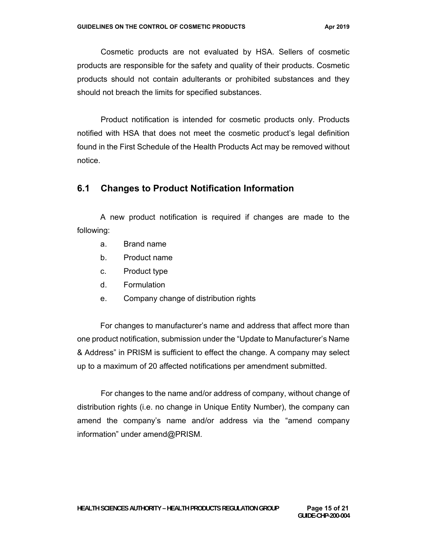Cosmetic products are not evaluated by HSA. Sellers of cosmetic products are responsible for the safety and quality of their products. Cosmetic products should not contain adulterants or prohibited substances and they should not breach the limits for specified substances.

Product notification is intended for cosmetic products only. Products notified with HSA that does not meet the cosmetic product's legal definition found in the First Schedule of the Health Products Act may be removed without notice.

#### **6.1 Changes to Product Notification Information**

A new product notification is required if changes are made to the following:

- a. Brand name
- b. Product name
- c. Product type
- d. Formulation
- e. Company change of distribution rights

For changes to manufacturer's name and address that affect more than one product notification, submission under the "Update to Manufacturer's Name & Address" in PRISM is sufficient to effect the change. A company may select up to a maximum of 20 affected notifications per amendment submitted.

For changes to the name and/or address of company, without change of distribution rights (i.e. no change in Unique Entity Number), the company can amend the company's name and/or address via the "amend company information" under amend@PRISM.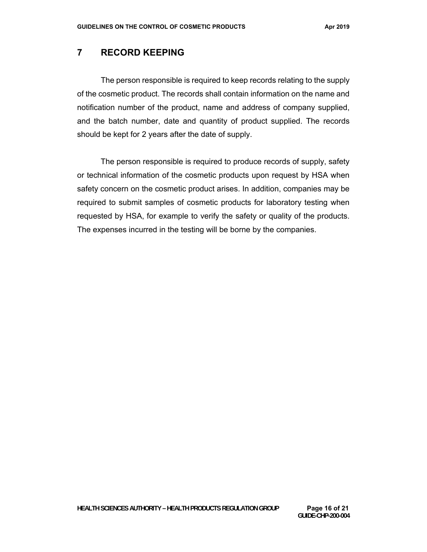#### **7 RECORD KEEPING**

The person responsible is required to keep records relating to the supply of the cosmetic product. The records shall contain information on the name and notification number of the product, name and address of company supplied, and the batch number, date and quantity of product supplied. The records should be kept for 2 years after the date of supply.

The person responsible is required to produce records of supply, safety or technical information of the cosmetic products upon request by HSA when safety concern on the cosmetic product arises. In addition, companies may be required to submit samples of cosmetic products for laboratory testing when requested by HSA, for example to verify the safety or quality of the products. The expenses incurred in the testing will be borne by the companies.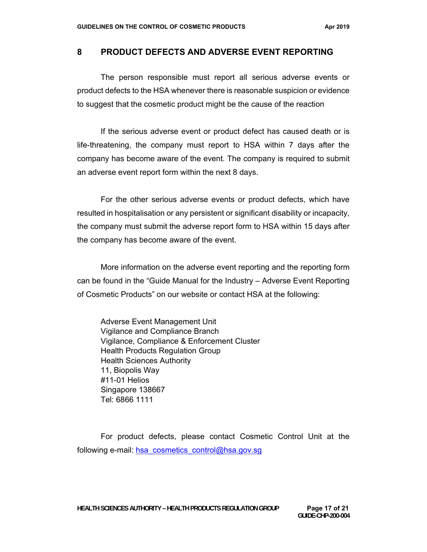#### **8 PRODUCT DEFECTS AND ADVERSE EVENT REPORTING**

The person responsible must report all serious adverse events or product defects to the HSA whenever there is reasonable suspicion or evidence to suggest that the cosmetic product might be the cause of the reaction

If the serious adverse event or product defect has caused death or is life-threatening, the company must report to HSA within 7 days after the company has become aware of the event. The company is required to submit an adverse event report form within the next 8 days.

For the other serious adverse events or product defects, which have resulted in hospitalisation or any persistent or significant disability or incapacity, the company must submit the adverse report form to HSA within 15 days after the company has become aware of the event.

More information on the adverse event reporting and the reporting form can be found in the "Guide Manual for the Industry – Adverse Event Reporting of Cosmetic Products" on our website or contact HSA at the following:

Adverse Event Management Unit Vigilance and Compliance Branch Vigilance, Compliance & Enforcement Cluster Health Products Regulation Group Health Sciences Authority 11, Biopolis Way #11-01 Helios Singapore 138667 Tel: 6866 1111

 For product defects, please contact Cosmetic Control Unit at the following e-mail: hsa\_cosmetics\_control@hsa.gov.sg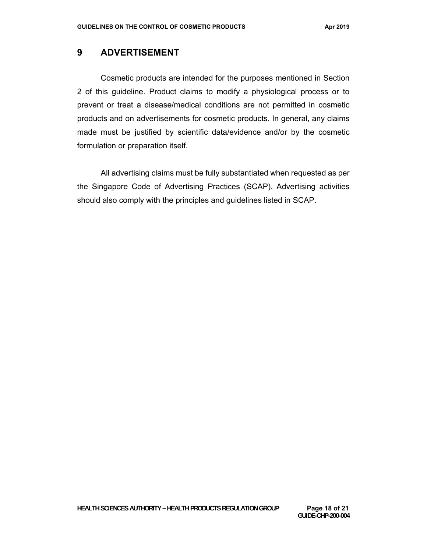#### **9 ADVERTISEMENT**

Cosmetic products are intended for the purposes mentioned in Section 2 of this guideline. Product claims to modify a physiological process or to prevent or treat a disease/medical conditions are not permitted in cosmetic products and on advertisements for cosmetic products. In general, any claims made must be justified by scientific data/evidence and/or by the cosmetic formulation or preparation itself.

All advertising claims must be fully substantiated when requested as per the Singapore Code of Advertising Practices (SCAP). Advertising activities should also comply with the principles and guidelines listed in SCAP.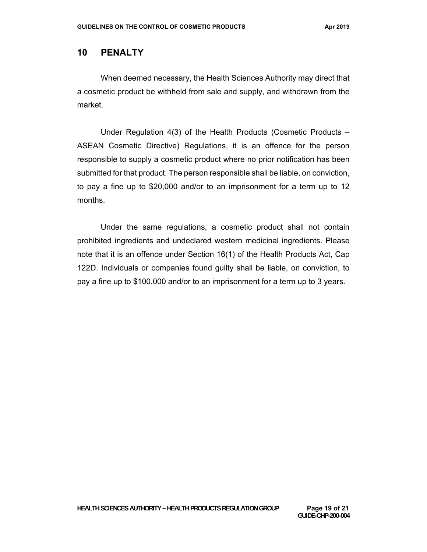#### **10 PENALTY**

When deemed necessary, the Health Sciences Authority may direct that a cosmetic product be withheld from sale and supply, and withdrawn from the market.

Under Regulation 4(3) of the Health Products (Cosmetic Products – ASEAN Cosmetic Directive) Regulations, it is an offence for the person responsible to supply a cosmetic product where no prior notification has been submitted for that product. The person responsible shall be liable, on conviction, to pay a fine up to \$20,000 and/or to an imprisonment for a term up to 12 months.

Under the same regulations, a cosmetic product shall not contain prohibited ingredients and undeclared western medicinal ingredients. Please note that it is an offence under Section 16(1) of the Health Products Act, Cap 122D. Individuals or companies found guilty shall be liable, on conviction, to pay a fine up to \$100,000 and/or to an imprisonment for a term up to 3 years.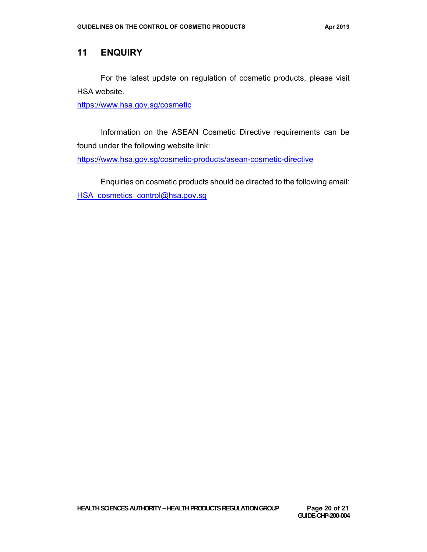# **11 ENQUIRY**

For the latest update on regulation of cosmetic products, please visit HSA website.

https://www.hsa.gov.sg/cosmetic

Information on the ASEAN Cosmetic Directive requirements can be found under the following website link:

https://www.hsa.gov.sg/cosmetic-products/asean-cosmetic-directive

Enquiries on cosmetic products should be directed to the following email: HSA cosmetics control@hsa.gov.sg